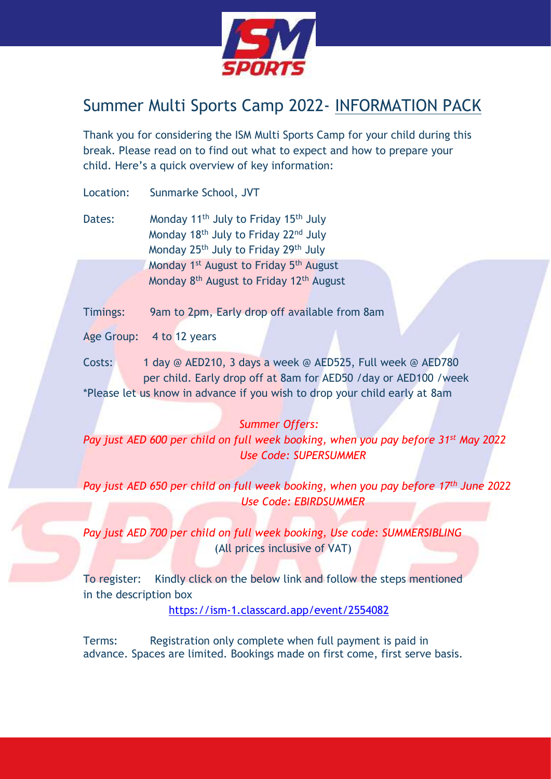

# Summer Multi Sports Camp 2022- INFORMATION PACK

Thank you for considering the ISM Multi Sports Camp for your child during this break. Please read on to find out what to expect and how to prepare your child. Here's a quick overview of key information:

Location: Sunmarke School, JVT

Dates: Monday 11<sup>th</sup> July to Friday 15<sup>th</sup> July Monday 18th July to Friday 22nd July Monday 25<sup>th</sup> July to Friday 29<sup>th</sup> July Monday 1<sup>st</sup> August to Friday 5<sup>th</sup> August Monday 8<sup>th</sup> August to Friday 12<sup>th</sup> August

Timings: 9am to 2pm, Early drop off available from 8am

Age Group: 4 to 12 years

Costs: 1 day @ AED210, 3 days a week @ AED525, Full week @ AED780 per child. Early drop off at 8am for AED50 /day or AED100 /week \*Please let us know in advance if you wish to drop your child early at 8am

# *Summer Offers:*

*Pay just AED 600 per child on full week booking, when you pay before 31st May 2022 Use Code: SUPERSUMMER*

*Pay just AED 650 per child on full week booking, when you pay before 17th June 2022 Use Code: EBIRDSUMMER*

*Pay just AED 700 per child on full week booking, Use code: SUMMERSIBLING* (All prices inclusive of VAT)

To register: Kindly click on the below link and follow the steps mentioned in the description box

<https://ism-1.classcard.app/event/2554082>

Terms: Registration only complete when full payment is paid in advance. Spaces are limited. Bookings made on first come, first serve basis.